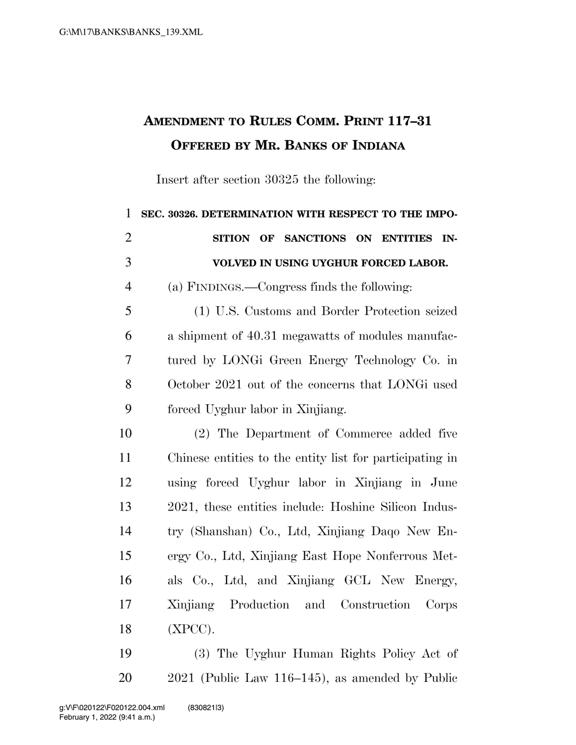## **AMENDMENT TO RULES COMM. PRINT 117–31 OFFERED BY MR. BANKS OF INDIANA**

Insert after section 30325 the following:

| $\mathbf{1}$   | SEC. 30326. DETERMINATION WITH RESPECT TO THE IMPO-      |
|----------------|----------------------------------------------------------|
| $\overline{2}$ | SANCTIONS ON ENTITIES<br><b>SITION OF</b><br>IN-         |
| 3              | VOLVED IN USING UYGHUR FORCED LABOR.                     |
| $\overline{4}$ | (a) FINDINGS.—Congress finds the following:              |
| 5              | (1) U.S. Customs and Border Protection seized            |
| 6              | a shipment of 40.31 megawatts of modules manufac-        |
| 7              | tured by LONG Green Energy Technology Co. in             |
| 8              | October 2021 out of the concerns that LONG used          |
| 9              | forced Uyghur labor in Xinjiang.                         |
| 10             | (2) The Department of Commerce added five                |
| 11             | Chinese entities to the entity list for participating in |
| 12             | using forced Uyghur labor in Xinjiang in June            |
| 13             | 2021, these entities include: Hoshine Silicon Indus-     |
| 14             | try (Shanshan) Co., Ltd, Xinjiang Daqo New En-           |
| 15             | ergy Co., Ltd, Xinjiang East Hope Nonferrous Met-        |
| 16             | als Co., Ltd, and Xinjiang GCL New Energy,               |
| 17             | Xinjiang Production and Construction<br>Corps            |
| 18             | $(XPCC)$ .                                               |
| 19             | (3) The Uyghur Human Rights Policy Act of                |

2021 (Public Law 116–145), as amended by Public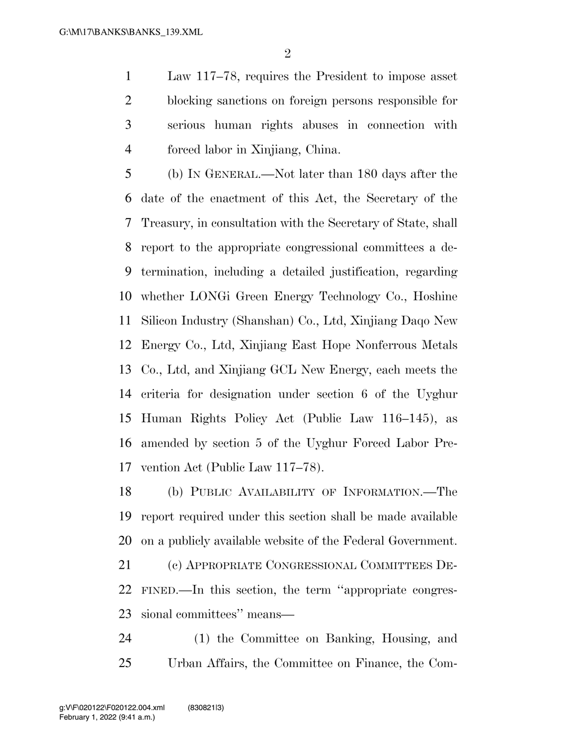Law 117–78, requires the President to impose asset blocking sanctions on foreign persons responsible for serious human rights abuses in connection with forced labor in Xinjiang, China.

 (b) IN GENERAL.—Not later than 180 days after the date of the enactment of this Act, the Secretary of the Treasury, in consultation with the Secretary of State, shall report to the appropriate congressional committees a de- termination, including a detailed justification, regarding whether LONGi Green Energy Technology Co., Hoshine Silicon Industry (Shanshan) Co., Ltd, Xinjiang Daqo New Energy Co., Ltd, Xinjiang East Hope Nonferrous Metals Co., Ltd, and Xinjiang GCL New Energy, each meets the criteria for designation under section 6 of the Uyghur Human Rights Policy Act (Public Law 116–145), as amended by section 5 of the Uyghur Forced Labor Pre-vention Act (Public Law 117–78).

 (b) PUBLIC AVAILABILITY OF INFORMATION.—The report required under this section shall be made available on a publicly available website of the Federal Government.

 (c) APPROPRIATE CONGRESSIONAL COMMITTEES DE- FINED.—In this section, the term ''appropriate congres-sional committees'' means—

 (1) the Committee on Banking, Housing, and Urban Affairs, the Committee on Finance, the Com-